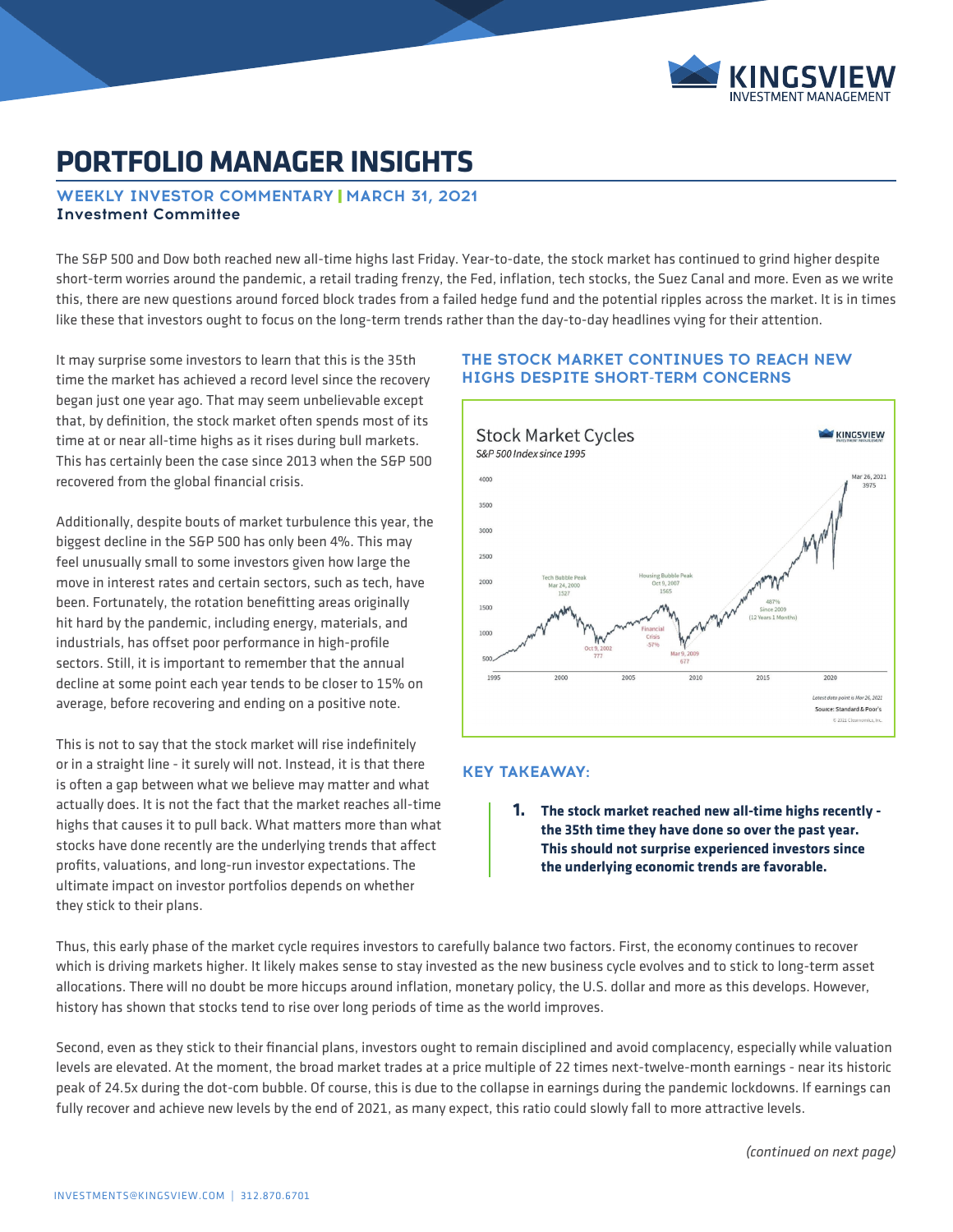

# **PORTFOLIO MANAGER INSIGHTS**

# **WEEKLY INVESTOR COMMENTARY | MARCH 31, 2021 Investment Committee**

The S&P 500 and Dow both reached new all-time highs last Friday. Year-to-date, the stock market has continued to grind higher despite short-term worries around the pandemic, a retail trading frenzy, the Fed, inflation, tech stocks, the Suez Canal and more. Even as we write this, there are new questions around forced block trades from a failed hedge fund and the potential ripples across the market. It is in times like these that investors ought to focus on the long-term trends rather than the day-to-day headlines vying for their attention.

It may surprise some investors to learn that this is the 35th time the market has achieved a record level since the recovery began just one year ago. That may seem unbelievable except that, by definition, the stock market often spends most of its time at or near all-time highs as it rises during bull markets. This has certainly been the case since 2013 when the S&P 500 recovered from the global financial crisis.

Additionally, despite bouts of market turbulence this year, the biggest decline in the S&P 500 has only been 4%. This may feel unusually small to some investors given how large the move in interest rates and certain sectors, such as tech, have been. Fortunately, the rotation benefitting areas originally hit hard by the pandemic, including energy, materials, and industrials, has offset poor performance in high-profile sectors. Still, it is important to remember that the annual decline at some point each year tends to be closer to 15% on average, before recovering and ending on a positive note.

This is not to say that the stock market will rise indefinitely or in a straight line - it surely will not. Instead, it is that there is often a gap between what we believe may matter and what actually does. It is not the fact that the market reaches all-time highs that causes it to pull back. What matters more than what stocks have done recently are the underlying trends that affect profits, valuations, and long-run investor expectations. The ultimate impact on investor portfolios depends on whether they stick to their plans.

#### **THE STOCK MARKET CONTINUES TO REACH NEW HIGHS DESPITE SHORT-TERM CONCERNS**



#### **KEY TAKEAWAY:**

**1. The stock market reached new all-time highs recently the 35th time they have done so over the past year. This should not surprise experienced investors since the underlying economic trends are favorable.** 

Thus, this early phase of the market cycle requires investors to carefully balance two factors. First, the economy continues to recover which is driving markets higher. It likely makes sense to stay invested as the new business cycle evolves and to stick to long-term asset allocations. There will no doubt be more hiccups around inflation, monetary policy, the U.S. dollar and more as this develops. However, history has shown that stocks tend to rise over long periods of time as the world improves.

Second, even as they stick to their financial plans, investors ought to remain disciplined and avoid complacency, especially while valuation levels are elevated. At the moment, the broad market trades at a price multiple of 22 times next-twelve-month earnings - near its historic peak of 24.5x during the dot-com bubble. Of course, this is due to the collapse in earnings during the pandemic lockdowns. If earnings can fully recover and achieve new levels by the end of 2021, as many expect, this ratio could slowly fall to more attractive levels.